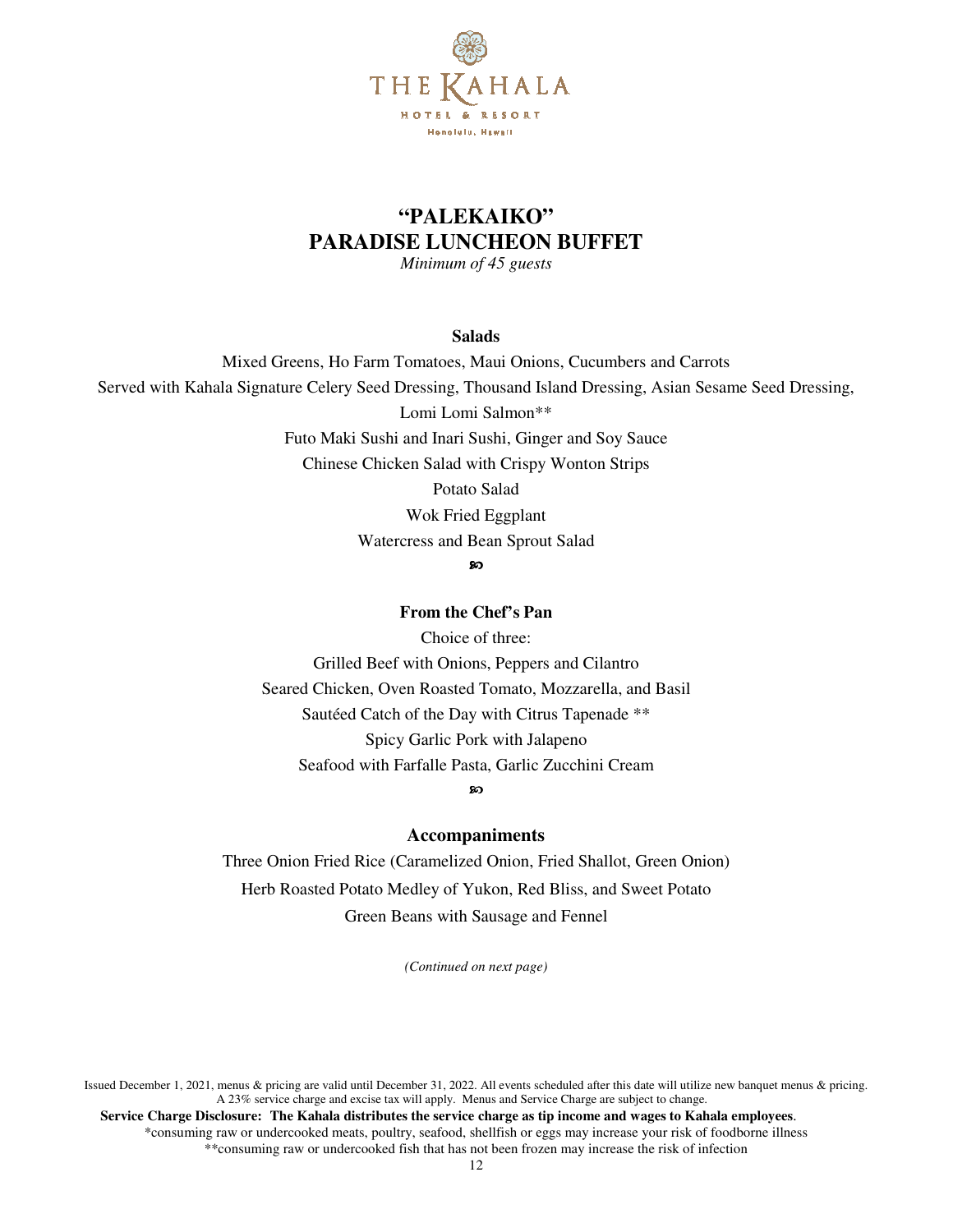

## **"PALEKAIKO" PARADISE LUNCHEON BUFFET**

*Minimum of 45 guests* 

#### **Salads**

Mixed Greens, Ho Farm Tomatoes, Maui Onions, Cucumbers and Carrots Served with Kahala Signature Celery Seed Dressing, Thousand Island Dressing, Asian Sesame Seed Dressing, Lomi Lomi Salmon\*\* Futo Maki Sushi and Inari Sushi, Ginger and Soy Sauce Chinese Chicken Salad with Crispy Wonton Strips Potato Salad Wok Fried Eggplant Watercress and Bean Sprout Salad ഹ

## **From the Chef's Pan**

Choice of three: Grilled Beef with Onions, Peppers and Cilantro Seared Chicken, Oven Roasted Tomato, Mozzarella, and Basil Sautéed Catch of the Day with Citrus Tapenade \*\* Spicy Garlic Pork with Jalapeno Seafood with Farfalle Pasta, Garlic Zucchini Cream

ာ

## **Accompaniments**

Three Onion Fried Rice (Caramelized Onion, Fried Shallot, Green Onion) Herb Roasted Potato Medley of Yukon, Red Bliss, and Sweet Potato Green Beans with Sausage and Fennel

*(Continued on next page)*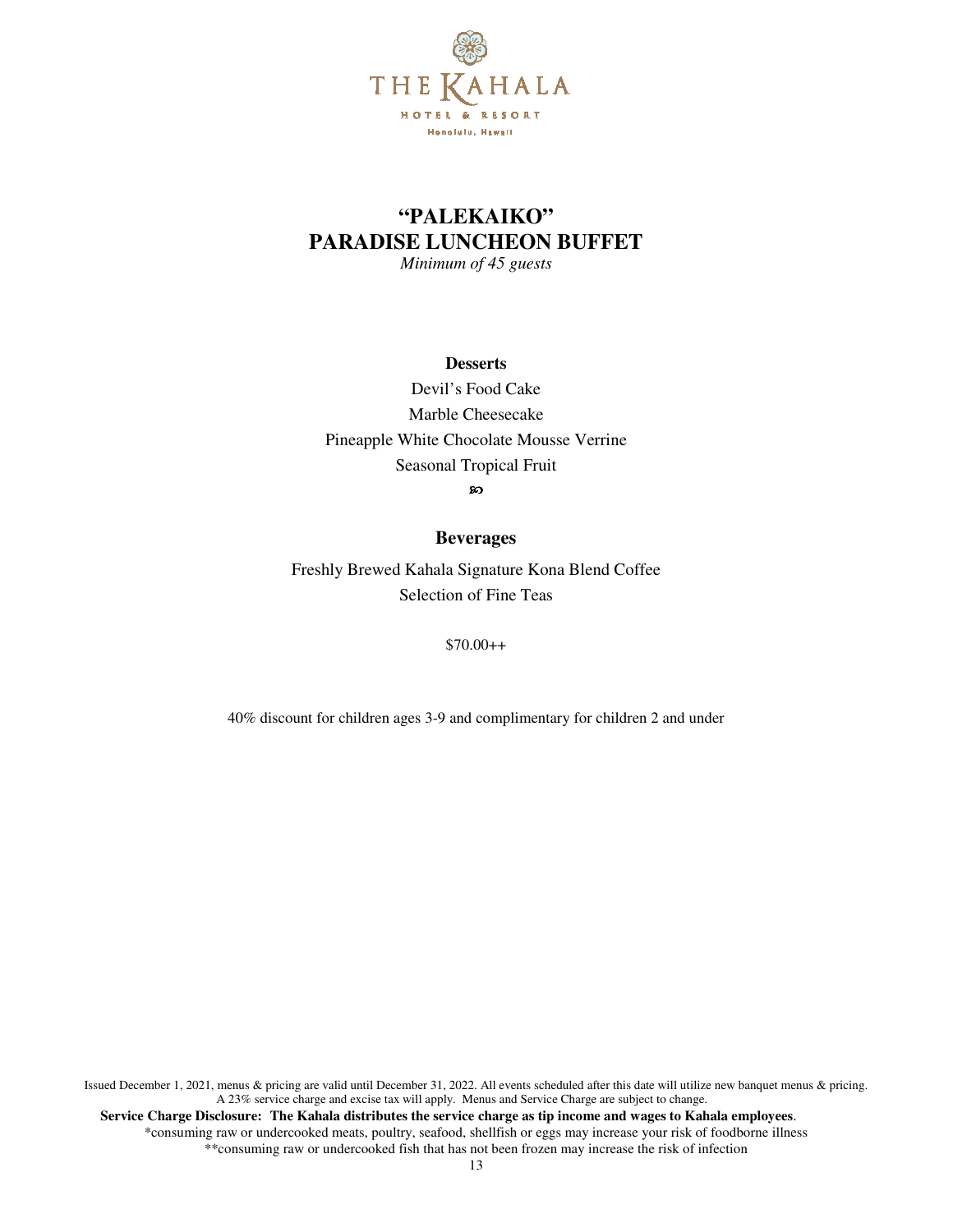

# **"PALEKAIKO" PARADISE LUNCHEON BUFFET**

*Minimum of 45 guests* 

#### **Desserts**

Devil's Food Cake Marble Cheesecake Pineapple White Chocolate Mousse Verrine Seasonal Tropical Fruit **ော** 

#### **Beverages**

Freshly Brewed Kahala Signature Kona Blend Coffee Selection of Fine Teas

 $$70.00++$ 

40% discount for children ages 3-9 and complimentary for children 2 and under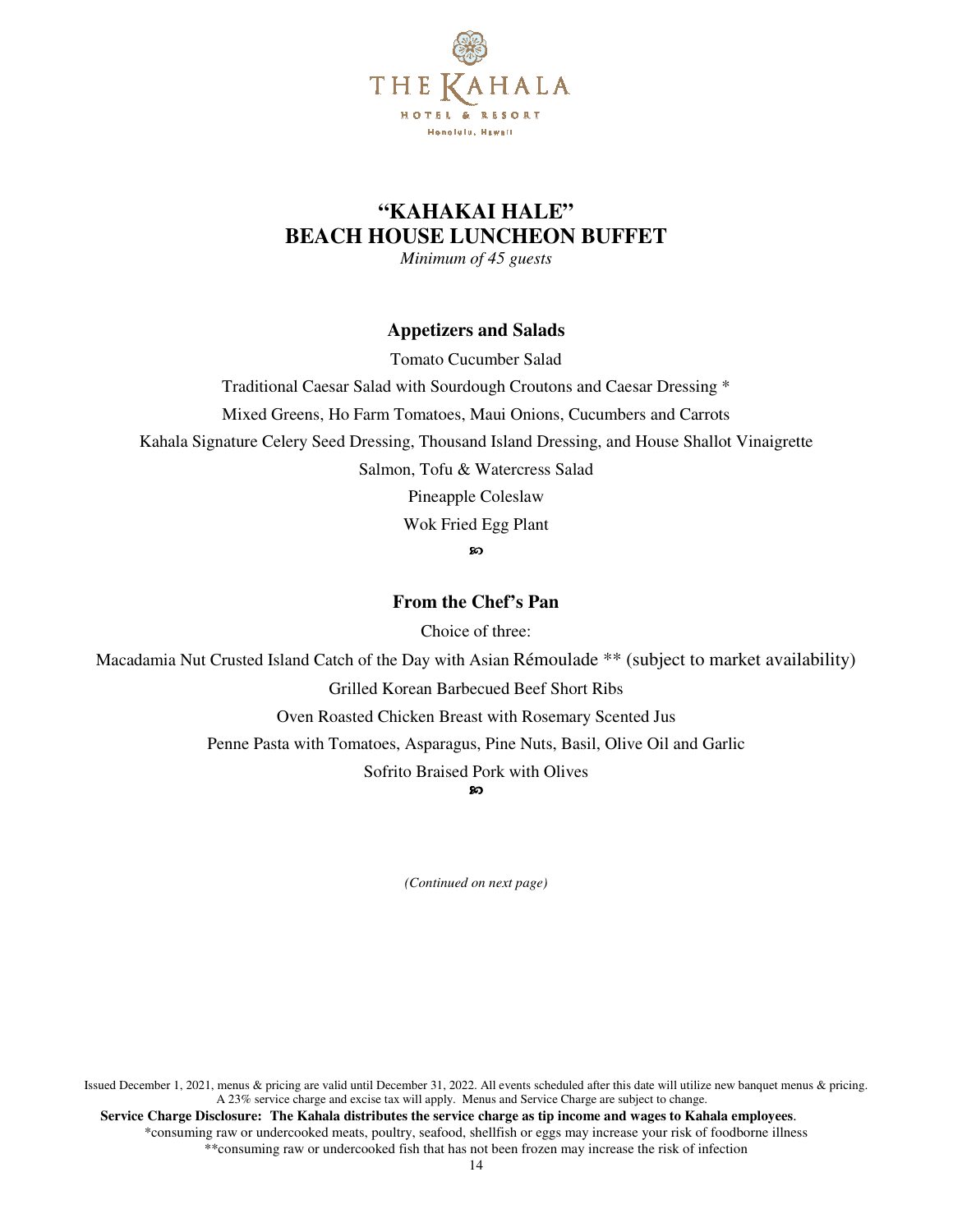

## **"KAHAKAI HALE" BEACH HOUSE LUNCHEON BUFFET**

*Minimum of 45 guests* 

### **Appetizers and Salads**

Tomato Cucumber Salad

Traditional Caesar Salad with Sourdough Croutons and Caesar Dressing \*

Mixed Greens, Ho Farm Tomatoes, Maui Onions, Cucumbers and Carrots

Kahala Signature Celery Seed Dressing, Thousand Island Dressing, and House Shallot Vinaigrette

Salmon, Tofu & Watercress Salad

Pineapple Coleslaw

Wok Fried Egg Plant

ာ

**From the Chef's Pan** 

Choice of three:

Macadamia Nut Crusted Island Catch of the Day with Asian Rémoulade \*\* (subject to market availability)

Grilled Korean Barbecued Beef Short Ribs

Oven Roasted Chicken Breast with Rosemary Scented Jus

Penne Pasta with Tomatoes, Asparagus, Pine Nuts, Basil, Olive Oil and Garlic

Sofrito Braised Pork with Olives

ഹ

*(Continued on next page)*